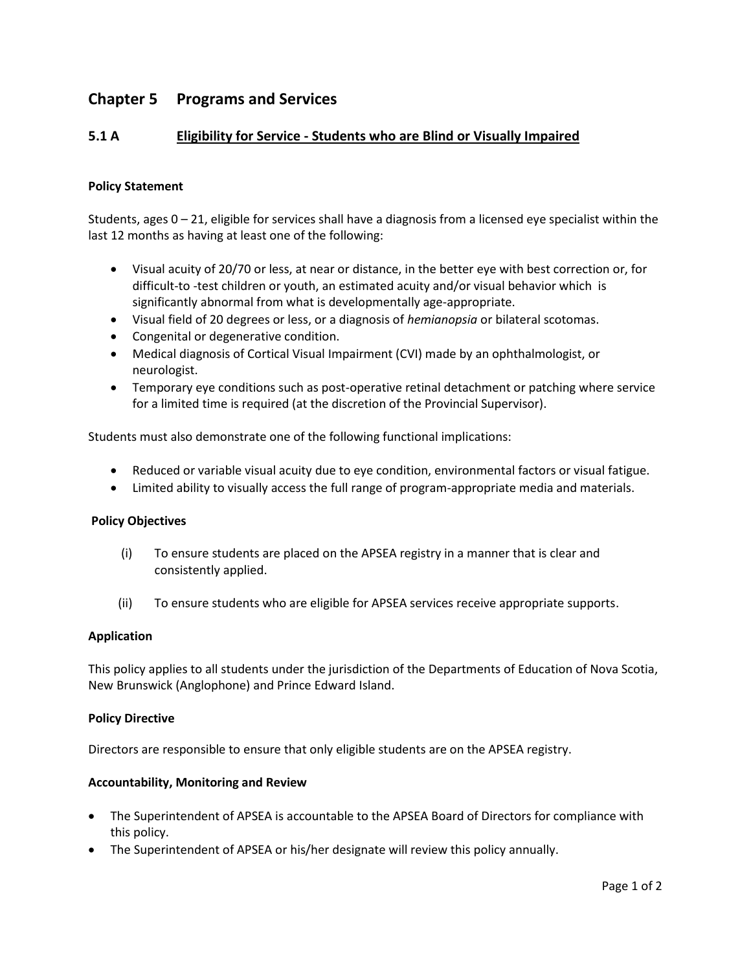# **Chapter 5 Programs and Services**

## **5.1 A Eligibility for Service - Students who are Blind or Visually Impaired**

## **Policy Statement**

Students, ages 0 – 21, eligible for services shall have a diagnosis from a licensed eye specialist within the last 12 months as having at least one of the following:

- Visual acuity of 20/70 or less, at near or distance, in the better eye with best correction or, for difficult-to -test children or youth, an estimated acuity and/or visual behavior which is significantly abnormal from what is developmentally age-appropriate.
- Visual field of 20 degrees or less, or a diagnosis of *hemianopsia* or bilateral scotomas.
- Congenital or degenerative condition.
- Medical diagnosis of Cortical Visual Impairment (CVI) made by an ophthalmologist, or neurologist.
- Temporary eye conditions such as post-operative retinal detachment or patching where service for a limited time is required (at the discretion of the Provincial Supervisor).

Students must also demonstrate one of the following functional implications:

- Reduced or variable visual acuity due to eye condition, environmental factors or visual fatigue.
- Limited ability to visually access the full range of program-appropriate media and materials.

#### **Policy Objectives**

- (i) To ensure students are placed on the APSEA registry in a manner that is clear and consistently applied.
- (ii) To ensure students who are eligible for APSEA services receive appropriate supports.

#### **Application**

This policy applies to all students under the jurisdiction of the Departments of Education of Nova Scotia, New Brunswick (Anglophone) and Prince Edward Island.

#### **Policy Directive**

Directors are responsible to ensure that only eligible students are on the APSEA registry.

#### **Accountability, Monitoring and Review**

- The Superintendent of APSEA is accountable to the APSEA Board of Directors for compliance with this policy.
- The Superintendent of APSEA or his/her designate will review this policy annually.